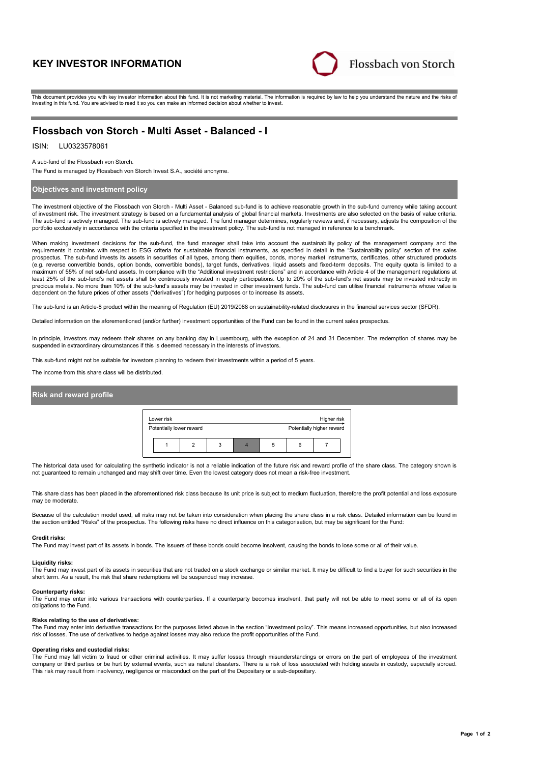# **KEY INVESTOR INFORMATION**



This document provides you with key investor information about this fund. It is not marketing material. The information is required by law to help you understand the nature and the risks of investing in this fund. You are advised to read it so you can make an informed decision about whether to invest.

# **Flossbach von Storch - Multi Asset - Balanced - I**

# ISIN: LU0323578061

#### A sub-fund of the Flossbach von Storch.

The Fund is managed by Flossbach von Storch Invest S.A., société anonyme.

# **Objectives and investment policy**

The investment objective of the Flossbach von Storch - Multi Asset - Balanced sub-fund is to achieve reasonable growth in the sub-fund currency while taking account of investment risk. The investment strategy is based on a fundamental analysis of global financial markets. Investments are also selected on the basis of value criteria. The sub-fund is actively managed. The sub-fund is actively managed. The fund manager determines, regularly reviews and, if necessary, adjusts the composition of the portfolio exclusively in accordance with the criteria specified in the investment policy. The sub-fund is not managed in reference to a benchmark.

When making investment decisions for the sub-fund, the fund manager shall take into account the sustainability policy of the management company and the requirements it contains with respect to ESG criteria for sustainable financial instruments, as specified in detail in the "Sustainability policy" section of the sales<br>prospectus. The sub-fund invests its assets in securit (e.g. reverse convertible bonds, option bonds, convertible bonds), target funds, derivatives, liquid assets and fixed-term deposits. The equity quota is limited to a maximum of 55% of net sub-fund assets. In compliance with the "Additional investment restrictions" and in accordance with Article 4 of the management regulations at least 25% of the sub-fund's net assets shall be continuously invested in equity participations. Up to 20% of the sub-fund's net assets may be invested indirectly in precious metals. No more than 10% of the sub-fund's assets may be invested in other investment funds. The sub-fund can utilise financial instruments whose value is<br>dependent on the future prices of other assets ("derivativ

The sub-fund is an Article-8 product within the meaning of Regulation (EU) 2019/2088 on sustainability-related disclosures in the financial services sector (SFDR).

Detailed information on the aforementioned (and/or further) investment opportunities of the Fund can be found in the current sales prospectus.

In principle, investors may redeem their shares on any banking day in Luxembourg, with the exception of 24 and 31 December. The redemption of shares may be suspended in extraordinary circumstances if this is deemed necessary in the interests of investors.

This sub-fund might not be suitable for investors planning to redeem their investments within a period of 5 years.

The income from this share class will be distributed.

# **Risk and reward profile**

| Lower risk<br>Higher risk |                          |  |   |  |                           |   |  |  |
|---------------------------|--------------------------|--|---|--|---------------------------|---|--|--|
|                           | Potentially lower reward |  |   |  | Potentially higher reward |   |  |  |
|                           |                          |  | 3 |  | 5                         | ĥ |  |  |

The historical data used for calculating the synthetic indicator is not a reliable indication of the future risk and reward profile of the share class. The category shown is not guaranteed to remain unchanged and may shift over time. Even the lowest category does not mean a risk-free investment.

This share class has been placed in the aforementioned risk class because its unit price is subject to medium fluctuation, therefore the profit potential and loss exposure may be moderate

Because of the calculation model used, all risks may not be taken into consideration when placing the share class in a risk class. Detailed information can be found in the section entitled "Risks" of the prospectus. The following risks have no direct influence on this categorisation, but may be significant for the Fund:

#### **Credit risks:**

The Fund may invest part of its assets in bonds. The issuers of these bonds could become insolvent, causing the bonds to lose some or all of their value.

### **Liquidity risks:**

The Fund may invest part of its assets in securities that are not traded on a stock exchange or similar market. It may be difficult to find a buyer for such securities in the short term. As a result, the risk that share redemptions will be suspended may increase.

#### **Counterparty risks:**

The Fund may enter into various transactions with counterparties. If a counterparty becomes insolvent, that party will not be able to meet some or all of its open obligations to the Fund.

#### **Risks relating to the use of derivatives:**

The Fund may enter into derivative transactions for the purposes listed above in the section "Investment policy". This means increased opportunities, but also increased risk of losses. The use of derivatives to hedge against losses may also reduce the profit opportunities of the Fund.

#### **Operating risks and custodial risks:**

The Fund may fall victim to fraud or other criminal activities. It may suffer losses through misunderstandings or errors on the part of employees of the investment company or third parties or be hurt by external events, such as natural disasters. There is a risk of loss associated with holding assets in custody, especially abroad. This risk may result from insolvency, negligence or misconduct on the part of the Depositary or a sub-depositary.